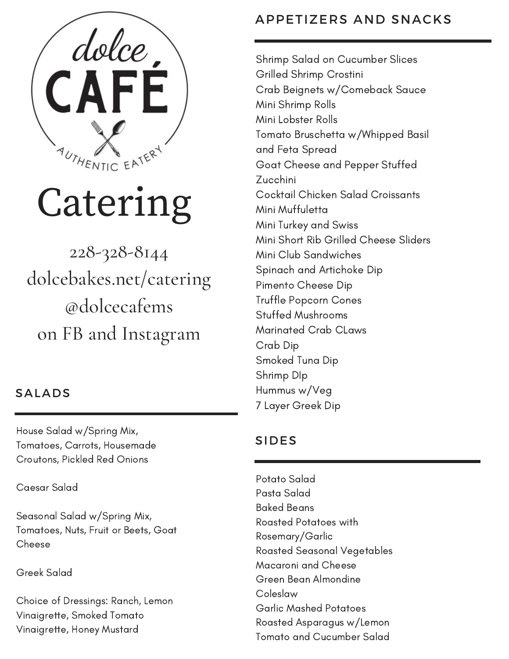

# Catering

228-328-8144 dolcebakes.net/catering @dolcecafems on FB and Instagram

### SALADS

House Salad w/Spring Mix, Tomatoes, Carrots, Housemade Croutons, Pickled Red Onions

Caesar Salad

Seasonal Salad w/Spring Mix, Tomatoes, Nuts, Fruit or Beets, Goat Cheese

Greek Salad

Choice of Dressings: Ranch, Lemon Vinaigrette, Smoked Tomato Vinaigrette, Honey Mustard

## APPETIZERS AND SNACKS

Shrimp Salad on Cucumber Slices Grilled Shrimp Crostini Crab Beignets w/Comeback Sauce Mini Shrimp Rolls Mini Lobster Rolls Tomato Bruschetta w/Whipped Basil and Feta Spread Goat Cheese and Pepper Stuffed Zucchini Cocktail Chicken Salad Croissants Mini Muffuletta Mini Turkey and Swiss Mini Short Rib Grilled Cheese Sliders Mini Club Sandwiches Spinach and Artichoke Dip Pimento Cheese Dip Truffle Popcorn Cones Stuffed Mushrooms Marinated Crab CLaws Crab Dip Smoked Tuna Dip Shrimp DIp Hummus w/Veg 7 Layer Greek Dip

## SIDES

Potato Salad Pasta Salad Baked Beans Roasted Potatoes with Rosemary/Garlic Roasted Seasonal Vegetables Macaroni and Cheese Green Bean Almondine Coleslaw Garlic Mashed Potatoes Roasted Asparagus w/Lemon Tomato and Cucumber Salad